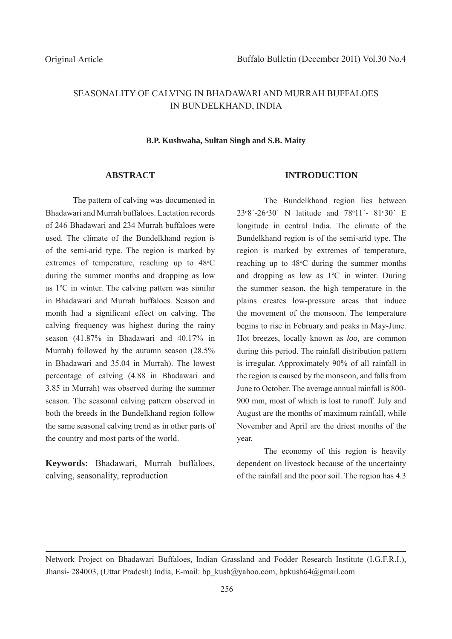# SEASONALITY OF CALVING IN BHADAWARI AND MURRAH BUFFALOES IN BUNDELKHAND, INDIA

#### **B.P. Kushwaha, Sultan Singh and S.B. Maity**

## **ABSTRACT**

The pattern of calving was documented in Bhadawari and Murrah buffaloes. Lactation records of 246 Bhadawari and 234 Murrah buffaloes were used. The climate of the Bundelkhand region is of the semi-arid type. The region is marked by extremes of temperature, reaching up to 48°C during the summer months and dropping as low as 1ºC in winter. The calving pattern was similar in Bhadawari and Murrah buffaloes. Season and month had a significant effect on calving. The calving frequency was highest during the rainy season (41.87% in Bhadawari and 40.17% in Murrah) followed by the autumn season (28.5% in Bhadawari and 35.04 in Murrah). The lowest percentage of calving (4.88 in Bhadawari and 3.85 in Murrah) was observed during the summer season. The seasonal calving pattern observed in both the breeds in the Bundelkhand region follow the same seasonal calving trend as in other parts of the country and most parts of the world.

**Keywords:** Bhadawari, Murrah buffaloes, calving, seasonality, reproduction

## **INTRODUCTION**

The Bundelkhand region lies between 23°8'-26°30' N latitude and 78°11'- 81°30' E longitude in central India. The climate of the Bundelkhand region is of the semi-arid type. The region is marked by extremes of temperature, reaching up to  $48^{\circ}$ C during the summer months and dropping as low as 1ºC in winter. During the summer season, the high temperature in the plains creates low-pressure areas that induce the movement of the monsoon. The temperature begins to rise in February and peaks in May-June. Hot breezes, locally known as *loo,* are common during this period. The rainfall distribution pattern is irregular. Approximately 90% of all rainfall in the region is caused by the monsoon, and falls from June to October. The average annual rainfall is 800- 900 mm, most of which is lost to runoff. July and August are the months of maximum rainfall, while November and April are the driest months of the year.

The economy of this region is heavily dependent on livestock because of the uncertainty of the rainfall and the poor soil. The region has 4.3

Network Project on Bhadawari Buffaloes, Indian Grassland and Fodder Research Institute (I.G.F.R.I.), Jhansi- 284003, (Uttar Pradesh) India, E-mail: bp\_kush@yahoo.com, bpkush64@gmail.com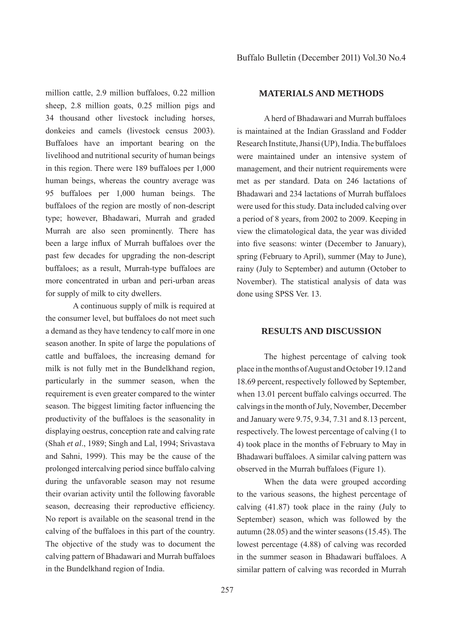million cattle, 2.9 million buffaloes, 0.22 million sheep, 2.8 million goats, 0.25 million pigs and 34 thousand other livestock including horses, donkeies and camels (livestock census 2003). Buffaloes have an important bearing on the livelihood and nutritional security of human beings in this region. There were 189 buffaloes per 1,000 human beings, whereas the country average was 95 buffaloes per 1,000 human beings. The buffaloes of the region are mostly of non-descript type; however, Bhadawari, Murrah and graded Murrah are also seen prominently. There has been a large influx of Murrah buffaloes over the past few decades for upgrading the non-descript buffaloes; as a result, Murrah-type buffaloes are more concentrated in urban and peri-urban areas for supply of milk to city dwellers.

A continuous supply of milk is required at the consumer level, but buffaloes do not meet such a demand as they have tendency to calf more in one season another. In spite of large the populations of cattle and buffaloes, the increasing demand for milk is not fully met in the Bundelkhand region, particularly in the summer season, when the requirement is even greater compared to the winter season. The biggest limiting factor influencing the productivity of the buffaloes is the seasonality in displaying oestrus, conception rate and calving rate (Shah *et al*., 1989; Singh and Lal, 1994; Srivastava and Sahni, 1999). This may be the cause of the prolonged intercalving period since buffalo calving during the unfavorable season may not resume their ovarian activity until the following favorable season, decreasing their reproductive efficiency. No report is available on the seasonal trend in the calving of the buffaloes in this part of the country. The objective of the study was to document the calving pattern of Bhadawari and Murrah buffaloes in the Bundelkhand region of India.

## **MATERIALS AND METHODS**

A herd of Bhadawari and Murrah buffaloes is maintained at the Indian Grassland and Fodder Research Institute, Jhansi (UP), India. The buffaloes were maintained under an intensive system of management, and their nutrient requirements were met as per standard. Data on 246 lactations of Bhadawari and 234 lactations of Murrah buffaloes were used for this study. Data included calving over a period of 8 years, from 2002 to 2009. Keeping in view the climatological data, the year was divided into five seasons: winter (December to January), spring (February to April), summer (May to June), rainy (July to September) and autumn (October to November). The statistical analysis of data was done using SPSS Ver. 13.

## **RESULTS AND DISCUSSION**

The highest percentage of calving took place in the months of August and October 19.12 and 18.69 percent, respectively followed by September, when 13.01 percent buffalo calvings occurred. The calvings in the month of July, November, December and January were 9.75, 9.34, 7.31 and 8.13 percent, respectively. The lowest percentage of calving (1 to 4) took place in the months of February to May in Bhadawari buffaloes. A similar calving pattern was observed in the Murrah buffaloes (Figure 1).

When the data were grouped according to the various seasons, the highest percentage of calving (41.87) took place in the rainy (July to September) season, which was followed by the autumn (28.05) and the winter seasons (15.45). The lowest percentage (4.88) of calving was recorded in the summer season in Bhadawari buffaloes. A similar pattern of calving was recorded in Murrah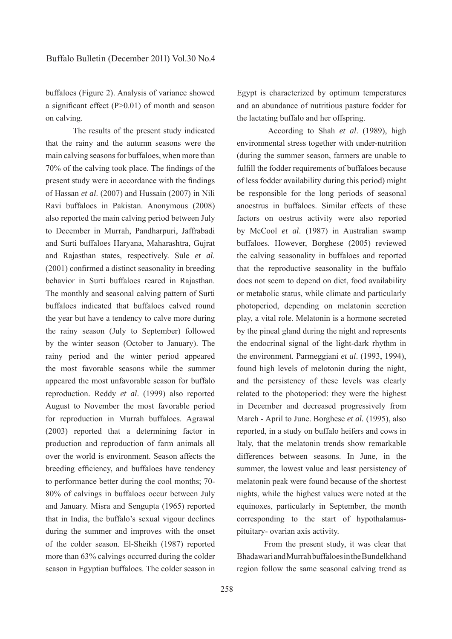buffaloes (Figure 2). Analysis of variance showed a significant effect  $(P>0.01)$  of month and season on calving.

The results of the present study indicated that the rainy and the autumn seasons were the main calving seasons for buffaloes, when more than  $70\%$  of the calving took place. The findings of the present study were in accordance with the findings of Hassan *et al*. (2007) and Hussain (2007) in Nili Ravi buffaloes in Pakistan. Anonymous (2008) also reported the main calving period between July to December in Murrah, Pandharpuri, Jaffrabadi and Surti buffaloes Haryana, Maharashtra, Gujrat and Rajasthan states, respectively. Sule *et al*.  $(2001)$  confirmed a distinct seasonality in breeding behavior in Surti buffaloes reared in Rajasthan. The monthly and seasonal calving pattern of Surti buffaloes indicated that buffaloes calved round the year but have a tendency to calve more during the rainy season (July to September) followed by the winter season (October to January). The rainy period and the winter period appeared the most favorable seasons while the summer appeared the most unfavorable season for buffalo reproduction. Reddy *et al*. (1999) also reported August to November the most favorable period for reproduction in Murrah buffaloes. Agrawal (2003) reported that a determining factor in production and reproduction of farm animals all over the world is environment. Season affects the breeding efficiency, and buffaloes have tendency to performance better during the cool months; 70- 80% of calvings in buffaloes occur between July and January. Misra and Sengupta (1965) reported that in India, the buffalo's sexual vigour declines during the summer and improves with the onset of the colder season. El-Sheikh (1987) reported more than 63% calvings occurred during the colder season in Egyptian buffaloes. The colder season in Egypt is characterized by optimum temperatures and an abundance of nutritious pasture fodder for the lactating buffalo and her offspring.

 According to Shah *et al*. (1989), high environmental stress together with under-nutrition (during the summer season, farmers are unable to fulfill the fodder requirements of buffaloes because of less fodder availability during this period) might be responsible for the long periods of seasonal anoestrus in buffaloes. Similar effects of these factors on oestrus activity were also reported by McCool *et al*. (1987) in Australian swamp buffaloes. However, Borghese (2005) reviewed the calving seasonality in buffaloes and reported that the reproductive seasonality in the buffalo does not seem to depend on diet, food availability or metabolic status, while climate and particularly photoperiod, depending on melatonin secretion play, a vital role. Melatonin is a hormone secreted by the pineal gland during the night and represents the endocrinal signal of the light-dark rhythm in the environment. Parmeggiani *et al*. (1993, 1994), found high levels of melotonin during the night, and the persistency of these levels was clearly related to the photoperiod: they were the highest in December and decreased progressively from March - April to June. Borghese *et al.* (1995), also reported, in a study on buffalo heifers and cows in Italy, that the melatonin trends show remarkable differences between seasons. In June, in the summer, the lowest value and least persistency of melatonin peak were found because of the shortest nights, while the highest values were noted at the equinoxes, particularly in September, the month corresponding to the start of hypothalamuspituitary- ovarian axis activity.

From the present study, it was clear that Bhadawari and Murrah buffaloes in the Bundelkhand region follow the same seasonal calving trend as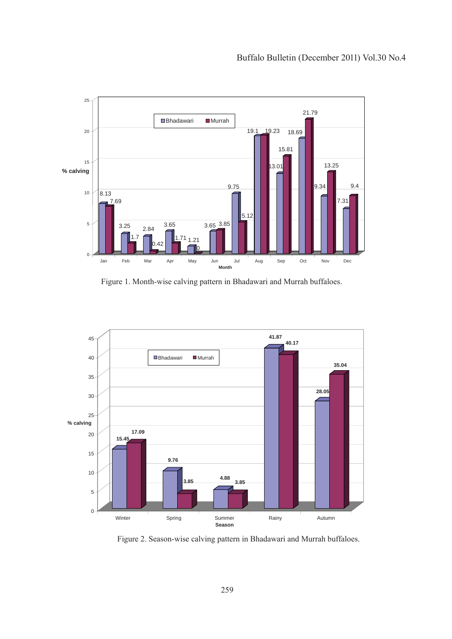

Figure 1. Month-wise calving pattern in Bhadawari and Murrah buffaloes.



Figure 2. Season-wise calving pattern in Bhadawari and Murrah buffaloes.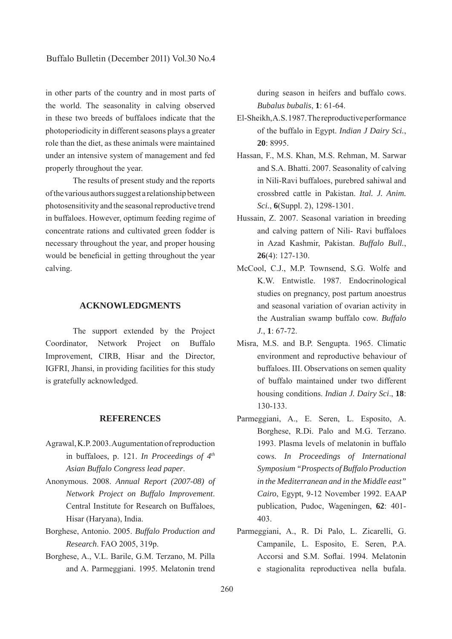in other parts of the country and in most parts of the world. The seasonality in calving observed in these two breeds of buffaloes indicate that the photoperiodicity in different seasons plays a greater role than the diet, as these animals were maintained under an intensive system of management and fed properly throughout the year.

The results of present study and the reports of the various authors suggest a relationship between photosensitivity and the seasonal reproductive trend in buffaloes. However, optimum feeding regime of concentrate rations and cultivated green fodder is necessary throughout the year, and proper housing would be beneficial in getting throughout the year calving.

## **ACKNOWLEDGMENTS**

The support extended by the Project Coordinator, Network Project on Buffalo Improvement, CIRB, Hisar and the Director, IGFRI, Jhansi, in providing facilities for this study is gratefully acknowledged.

## **REFERENCES**

- Agrawal, K.P. 2003. Augumentation of reproduction in buffaloes, p. 121. *In Proceedings of 4th Asian Buffalo Congress lead paper*.
- Anonymous. 2008. *Annual Report (2007-08) of Network Project on Buffalo Improvement*. Central Institute for Research on Buffaloes, Hisar (Haryana), India.
- Borghese, Antonio. 2005. *Buffalo Production and Research*. FAO 2005, 319p.
- Borghese, A., V.L. Barile, G.M. Terzano, M. Pilla and A. Parmeggiani. 1995. Melatonin trend

during season in heifers and buffalo cows. *Bubalus bubalis*, **1**: 61-64.

- El-Sheikh, A.S. 1987. The reproductive performance of the buffalo in Egypt. *Indian J Dairy Sci.*, **20**: 8995.
- Hassan, F., M.S. Khan, M.S. Rehman, M. Sarwar and S.A. Bhatti. 2007. Seasonality of calving in Nili-Ravi buffaloes, purebred sahiwal and crossbred cattle in Pakistan. *Ital. J. Anim. Sci.*, **6**(Suppl. 2), 1298-1301.
- Hussain, Z. 2007. Seasonal variation in breeding and calving pattern of Nili- Ravi buffaloes in Azad Kashmir, Pakistan. *Buffalo Bull.*, **26**(4): 127-130.
- McCool, C.J., M.P. Townsend, S.G. Wolfe and K.W. Entwistle. 1987. Endocrinological studies on pregnancy, post partum anoestrus and seasonal variation of ovarian activity in the Australian swamp buffalo cow. *Buffalo J.*, **1**: 67-72.
- Misra, M.S. and B.P. Sengupta. 1965. Climatic environment and reproductive behaviour of buffaloes. III. Observations on semen quality of buffalo maintained under two different housing conditions. *Indian J. Dairy Sci*., **18**: 130-133.
- Parmeggiani, A., E. Seren, L. Esposito, A. Borghese, R.Di. Palo and M.G. Terzano. 1993. Plasma levels of melatonin in buffalo cows. *In Proceedings of International Symposium "Prospects of Buffalo Production in the Mediterranean and in the Middle east" Cairo*, Egypt, 9-12 November 1992. EAAP publication, Pudoc, Wageningen, **62**: 401- 403.
- Parmeggiani, A., R. Di Palo, L. Zicarelli, G. Campanile, L. Esposito, E. Seren, P.A. Accorsi and S.M. Soflai. 1994. Melatonin e stagionalita reproductivea nella bufala.